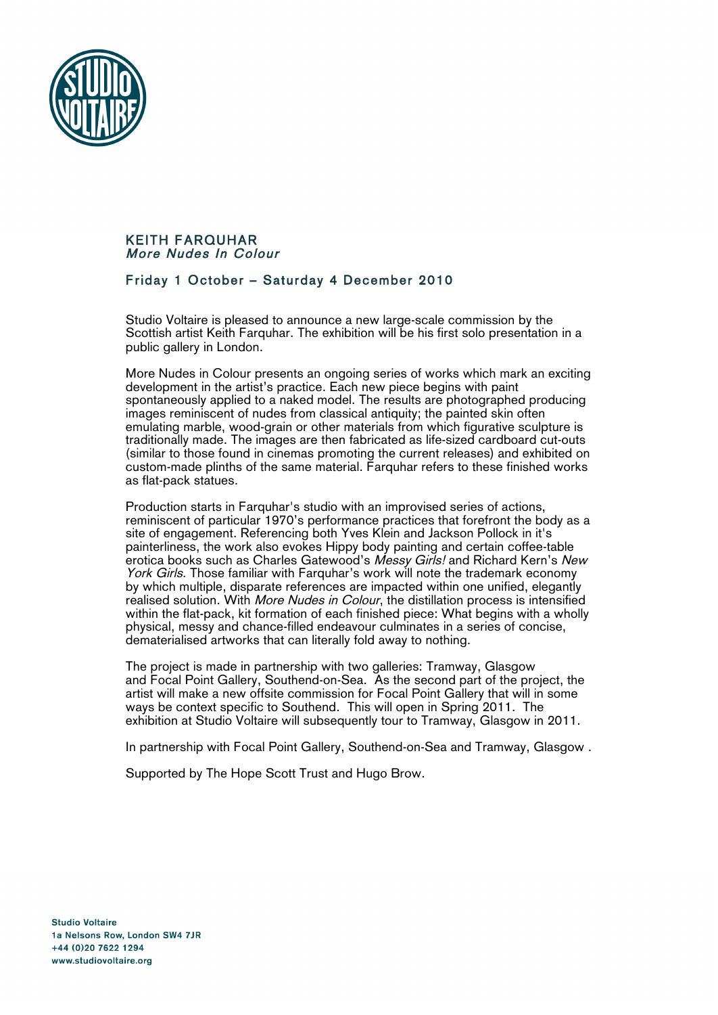

## KEITH FARQUHAR More Nudes In Colour

## Friday 1 October – Saturday 4 December 2010

Studio Voltaire is pleased to announce a new large-scale commission by the Scottish artist Keith Farquhar. The exhibition will be his first solo presentation in a public gallery in London.

More Nudes in Colour presents an ongoing series of works which mark an exciting development in the artist's practice. Each new piece begins with paint spontaneously applied to a naked model. The results are photographed producing images reminiscent of nudes from classical antiquity; the painted skin often emulating marble, wood-grain or other materials from which figurative sculpture is traditionally made. The images are then fabricated as life-sized cardboard cut-outs (similar to those found in cinemas promoting the current releases) and exhibited on custom-made plinths of the same material. Farquhar refers to these finished works as flat-pack statues.

Production starts in Farquhar's studio with an improvised series of actions, reminiscent of particular 1970's performance practices that forefront the body as a site of engagement. Referencing both Yves Klein and Jackson Pollock in it's painterliness, the work also evokes Hippy body painting and certain coffee-table erotica books such as Charles Gatewood's Messy Girls! and Richard Kern's New York Girls. Those familiar with Farquhar's work will note the trademark economy by which multiple, disparate references are impacted within one unified, elegantly realised solution. With More Nudes in Colour, the distillation process is intensified within the flat-pack, kit formation of each finished piece: What begins with a wholly physical, messy and chance-filled endeavour culminates in a series of concise, dematerialised artworks that can literally fold away to nothing.

The project is made in partnership with two galleries: Tramway, Glasgow and Focal Point Gallery, Southend-on-Sea. As the second part of the project, the artist will make a new offsite commission for Focal Point Gallery that will in some ways be context specific to Southend. This will open in Spring 2011. The exhibition at Studio Voltaire will subsequently tour to Tramway, Glasgow in 2011.

In partnership with Focal Point Gallery, Southend-on-Sea and Tramway, Glasgow .

Supported by The Hope Scott Trust and Hugo Brow.